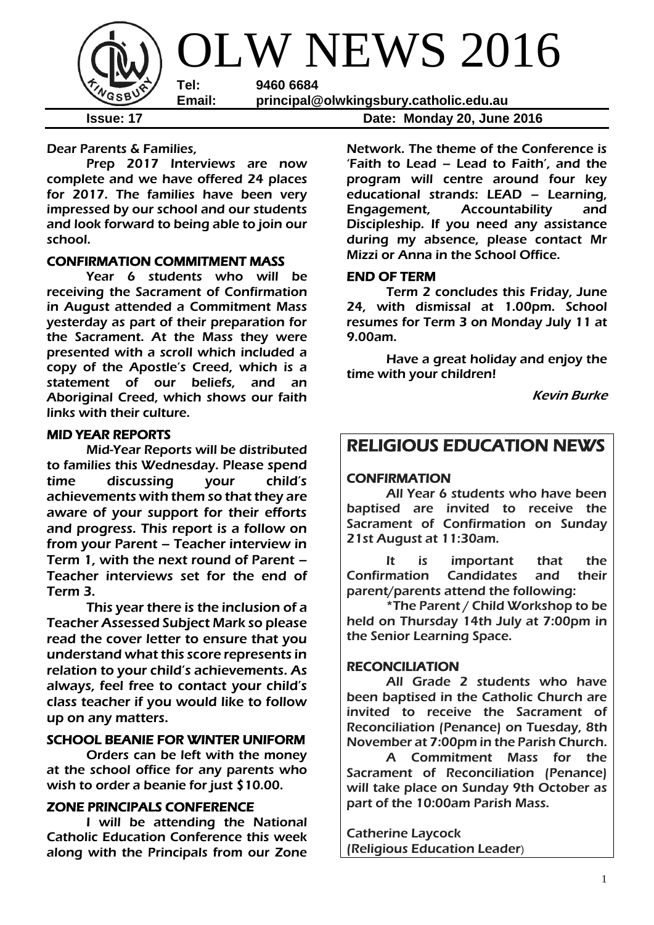

Dear Parents & Families,

Prep 2017 Interviews are now complete and we have offered 24 places for 2017. The families have been very impressed by our school and our students and look forward to being able to join our school.

## CONFIRMATION COMMITMENT MASS

Year 6 students who will be receiving the Sacrament of Confirmation in August attended a Commitment Mass yesterday as part of their preparation for the Sacrament. At the Mass they were presented with a scroll which included a copy of the Apostle's Creed, which is a statement of our beliefs, and an Aboriginal Creed, which shows our faith links with their culture.

### MID YEAR REPORTS

Mid-Year Reports will be distributed to families this Wednesday. Please spend time discussing your child's achievements with them so that they are aware of your support for their efforts and progress. This report is a follow on from your Parent – Teacher interview in Term 1, with the next round of Parent – Teacher interviews set for the end of Term 3.

This year there is the inclusion of a Teacher Assessed Subject Mark so please read the cover letter to ensure that you understand what this score represents in relation to your child's achievements. As always, feel free to contact your child's class teacher if you would like to follow up on any matters.

## SCHOOL BEANIE FOR WINTER UNIFORM

 Orders can be left with the money at the school office for any parents who wish to order a beanie for just \$10.00.

## ZONE PRINCIPALS CONFERENCE

I will be attending the National Catholic Education Conference this week along with the Principals from our Zone

Network. The theme of the Conference is 'Faith to Lead – Lead to Faith', and the program will centre around four key educational strands: LEAD – Learning, Engagement, Accountability and Discipleship. If you need any assistance during my absence, please contact Mr

### END OF TERM

Term 2 concludes this Friday, June 24, with dismissal at 1.00pm. School resumes for Term 3 on Monday July 11 at 9.00am.

Mizzi or Anna in the School Office.

Have a great holiday and enjoy the time with your children!

Kevin Burke

## RELIGIOUS EDUCATION NEWS

### CONFIRMATION

All Year 6 students who have been baptised are invited to receive the Sacrament of Confirmation on Sunday 21st August at 11:30am.

It is important that the Confirmation Candidates and their parent/parents attend the following:

\*The Parent / Child Workshop to be held on Thursday 14th July at 7:00pm in the Senior Learning Space.

## RECONCILIATION

All Grade 2 students who have been baptised in the Catholic Church are invited to receive the Sacrament of Reconciliation (Penance) on Tuesday, 8th November at 7:00pm in the Parish Church.

A Commitment Mass for the Sacrament of Reconciliation (Penance) will take place on Sunday 9th October as part of the 10:00am Parish Mass.

Catherine Laycock (Religious Education Leader)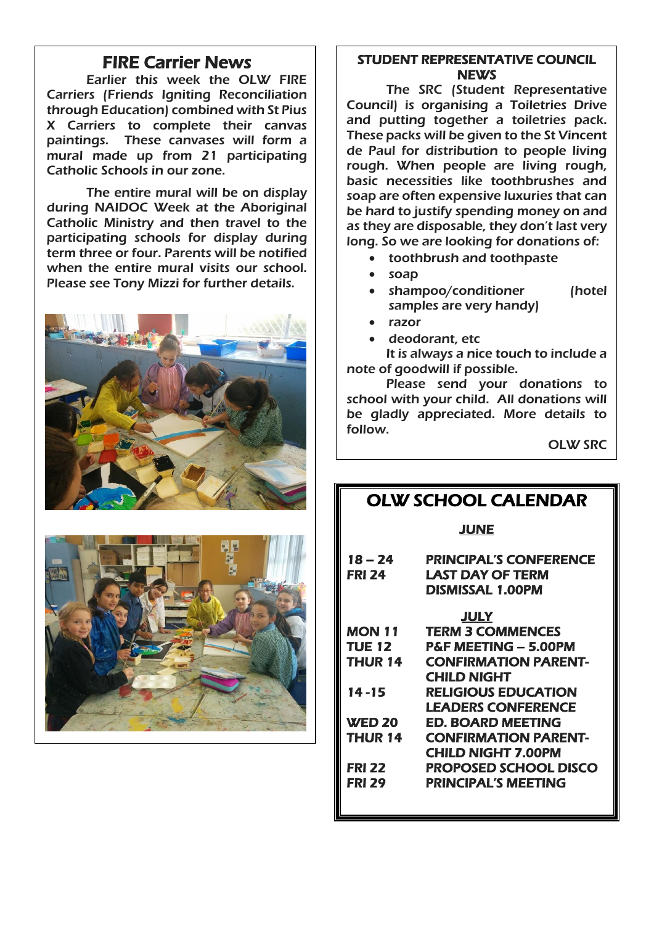## FIRE Carrier News

Earlier this week the OLW FIRE Carriers (Friends Igniting Reconciliation through Education) combined with St Pius X Carriers to complete their canvas paintings. These canvases will form a mural made up from 21 participating Catholic Schools in our zone.

The entire mural will be on display during NAIDOC Week at the Aboriginal Catholic Ministry and then travel to the participating schools for display during term three or four. Parents will be notified when the entire mural visits our school. Please see Tony Mizzi for further details.





## STUDENT REPRESENTATIVE COUNCIL **NEWS**

The SRC (Student Representative Council) is organising a Toiletries Drive and putting together a toiletries pack. These packs will be given to the St Vincent de Paul for distribution to people living rough. When people are living rough, basic necessities like toothbrushes and soap are often expensive luxuries that can be hard to justify spending money on and as they are disposable, they don't last very long. So we are looking for donations of:

- toothbrush and toothpaste
- soap
- shampoo/conditioner (hotel samples are very handy)
- razor
- deodorant, etc

It is always a nice touch to include a note of goodwill if possible.

Please send your donations to school with your child. All donations will be gladly appreciated. More details to follow.

OLW SRC

## OLW SCHOOL CALENDAR

JUNE

| 18 – 24<br><b>FRI 24</b> | <b>PRINCIPAL'S CONFERENCE</b><br>LAST DAY OF TERM<br>DISMISSAL 1.00PM |  |  |  |  |
|--------------------------|-----------------------------------------------------------------------|--|--|--|--|
|                          | <b>JULY</b>                                                           |  |  |  |  |
| MON 11                   | <b>TERM 3 COMMENCES</b>                                               |  |  |  |  |
| <b>TUE 12</b>            | P&F MEETING - 5.00PM                                                  |  |  |  |  |
| THUR 14                  | <b>CONFIRMATION PARENT-</b>                                           |  |  |  |  |
|                          | <b>CHILD NIGHT</b>                                                    |  |  |  |  |
| $14 - 15$                | <b>RELIGIOUS EDUCATION</b>                                            |  |  |  |  |
|                          | <b>LEADERS CONFERENCE</b>                                             |  |  |  |  |
| <b>WED 20</b>            | ED. BOARD MEETING                                                     |  |  |  |  |
| THUR 14                  | <b>CONFIRMATION PARENT-</b>                                           |  |  |  |  |
|                          | <b>CHILD NIGHT 7.00PM</b>                                             |  |  |  |  |
| <b>FRI 22</b>            | PROPOSED SCHOOL DISCO                                                 |  |  |  |  |
| <b>FRI 29</b>            | <b>PRINCIPAL'S MEETING</b>                                            |  |  |  |  |
|                          |                                                                       |  |  |  |  |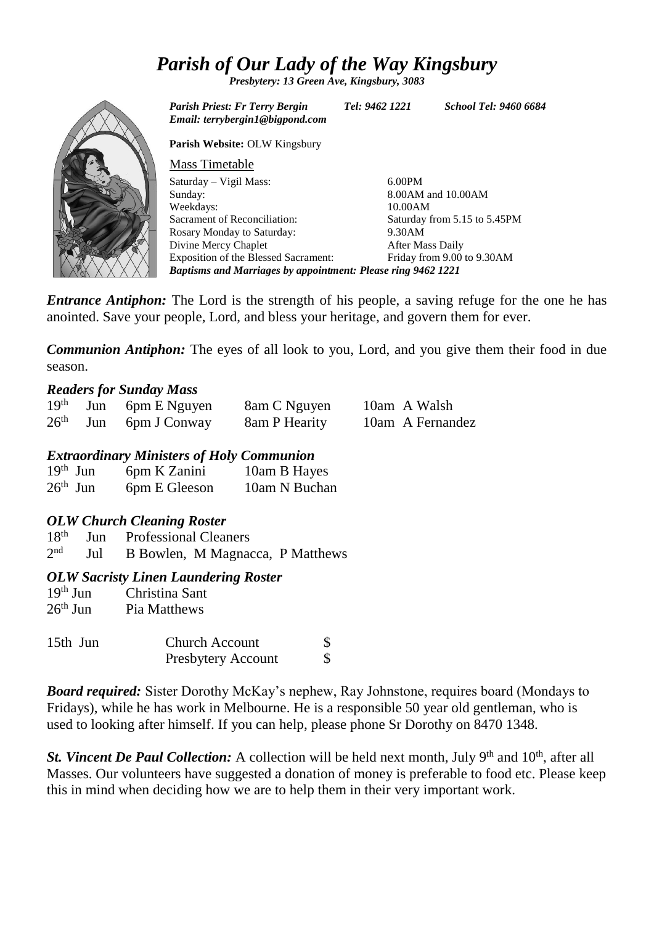# *Parish of Our Lady of the Way Kingsbury*

*Presbytery: 13 Green Ave, Kingsbury, 3083*



*Entrance Antiphon:* The Lord is the strength of his people, a saving refuge for the one he has anointed. Save your people, Lord, and bless your heritage, and govern them for ever.

*Communion Antiphon:* The eyes of all look to you, Lord, and you give them their food in due season.

## *Readers for Sunday Mass*

|  | $19th$ Jun 6pm E Nguyen | 8am C Nguyen  | 10am A Walsh     |
|--|-------------------------|---------------|------------------|
|  | $26th$ Jun 6pm J Conway | 8am P Hearity | 10am A Fernandez |

## *Extraordinary Ministers of Holy Communion*

| $19th$ Jun | 6pm K Zanini  | 10am B Hayes  |
|------------|---------------|---------------|
| $26th$ Jun | 6pm E Gleeson | 10am N Buchan |

## *OLW Church Cleaning Roster*

18th Jun Professional Cleaners

 $2<sub>nd</sub>$ Jul B Bowlen, M Magnacca, P Matthews

## *OLW Sacristy Linen Laundering Roster*

| $19th$ Jun | Christina Sant |
|------------|----------------|
| $26th$ Jun | Pia Matthews   |

| 15th Jun | <b>Church Account</b>     |  |
|----------|---------------------------|--|
|          | <b>Presbytery Account</b> |  |

*Board required:* Sister Dorothy McKay's nephew, Ray Johnstone, requires board (Mondays to Fridays), while he has work in Melbourne. He is a responsible 50 year old gentleman, who is used to looking after himself. If you can help, please phone Sr Dorothy on 8470 1348.

*St. Vincent De Paul Collection:* A collection will be held next month, July 9<sup>th</sup> and 10<sup>th</sup>, after all Masses. Our volunteers have suggested a donation of money is preferable to food etc. Please keep this in mind when deciding how we are to help them in their very important work.